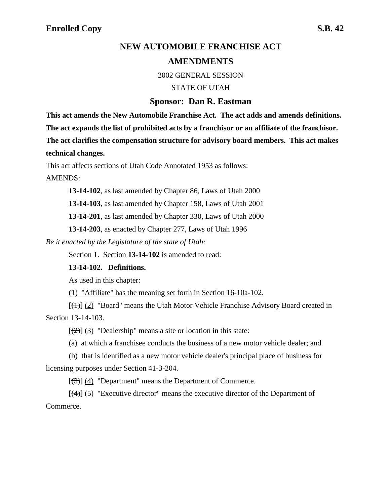# **NEW AUTOMOBILE FRANCHISE ACT**

# **AMENDMENTS**

2002 GENERAL SESSION

STATE OF UTAH

### **Sponsor: Dan R. Eastman**

**This act amends the New Automobile Franchise Act. The act adds and amends definitions. The act expands the list of prohibited acts by a franchisor or an affiliate of the franchisor. The act clarifies the compensation structure for advisory board members. This act makes technical changes.**

This act affects sections of Utah Code Annotated 1953 as follows:

AMENDS:

**13-14-102**, as last amended by Chapter 86, Laws of Utah 2000

**13-14-103**, as last amended by Chapter 158, Laws of Utah 2001

**13-14-201**, as last amended by Chapter 330, Laws of Utah 2000

**13-14-203**, as enacted by Chapter 277, Laws of Utah 1996

*Be it enacted by the Legislature of the state of Utah:*

Section 1. Section **13-14-102** is amended to read:

### **13-14-102. Definitions.**

As used in this chapter:

(1) "Affiliate" has the meaning set forth in Section 16-10a-102.

 $[\frac{(1)}{(2)}]$  "Board" means the Utah Motor Vehicle Franchise Advisory Board created in Section 13-14-103.

 $[\frac{1}{2}]$  (3) "Dealership" means a site or location in this state:

(a) at which a franchisee conducts the business of a new motor vehicle dealer; and

(b) that is identified as a new motor vehicle dealer's principal place of business for licensing purposes under Section 41-3-204.

 $[(3)]$  (4) "Department" means the Department of Commerce.

 $[(4)]$  (5) "Executive director" means the executive director of the Department of Commerce.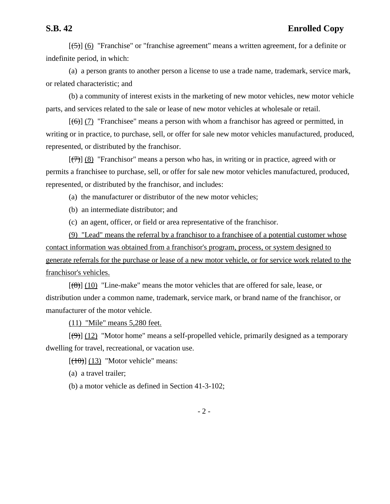$[5]$  (6) "Franchise" or "franchise agreement" means a written agreement, for a definite or indefinite period, in which:

(a) a person grants to another person a license to use a trade name, trademark, service mark, or related characteristic; and

(b) a community of interest exists in the marketing of new motor vehicles, new motor vehicle parts, and services related to the sale or lease of new motor vehicles at wholesale or retail.

 $[(6)]$  (7) "Franchisee" means a person with whom a franchisor has agreed or permitted, in writing or in practice, to purchase, sell, or offer for sale new motor vehicles manufactured, produced, represented, or distributed by the franchisor.

 $[\langle 7\rangle]$  (8) "Franchisor" means a person who has, in writing or in practice, agreed with or permits a franchisee to purchase, sell, or offer for sale new motor vehicles manufactured, produced, represented, or distributed by the franchisor, and includes:

(a) the manufacturer or distributor of the new motor vehicles;

(b) an intermediate distributor; and

(c) an agent, officer, or field or area representative of the franchisor.

(9) "Lead" means the referral by a franchisor to a franchisee of a potential customer whose contact information was obtained from a franchisor's program, process, or system designed to generate referrals for the purchase or lease of a new motor vehicle, or for service work related to the franchisor's vehicles.

 $[(8)]$  (10) "Line-make" means the motor vehicles that are offered for sale, lease, or distribution under a common name, trademark, service mark, or brand name of the franchisor, or manufacturer of the motor vehicle.

(11) "Mile" means 5,280 feet.

 $[\langle 9 \rangle]$  (12) "Motor home" means a self-propelled vehicle, primarily designed as a temporary dwelling for travel, recreational, or vacation use.

 $[ (10)(13)$  "Motor vehicle" means:

(a) a travel trailer;

(b) a motor vehicle as defined in Section 41-3-102;

- 2 -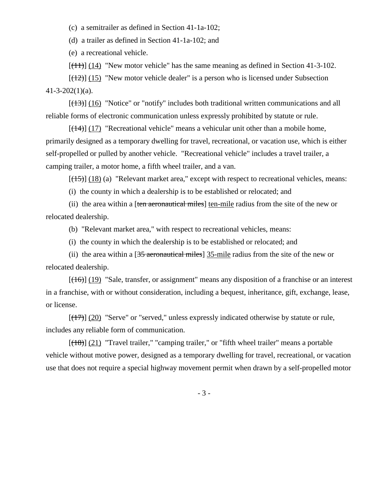(c) a semitrailer as defined in Section 41-1a-102;

(d) a trailer as defined in Section 41-1a-102; and

(e) a recreational vehicle.

 $[(11)] (14)$  "New motor vehicle" has the same meaning as defined in Section 41-3-102.

 $[(12)]$  (15) "New motor vehicle dealer" is a person who is licensed under Subsection  $41 - 3 - 202(1)(a)$ .

 $[(13)]$  (16) "Notice" or "notify" includes both traditional written communications and all reliable forms of electronic communication unless expressly prohibited by statute or rule.

 $[(14)] (17)$  "Recreational vehicle" means a vehicular unit other than a mobile home, primarily designed as a temporary dwelling for travel, recreational, or vacation use, which is either self-propelled or pulled by another vehicle. "Recreational vehicle" includes a travel trailer, a camping trailer, a motor home, a fifth wheel trailer, and a van.

 $[(15)]$  (18) (a) "Relevant market area," except with respect to recreational vehicles, means:

(i) the county in which a dealership is to be established or relocated; and

(ii) the area within a [ten aeronautical miles] ten-mile radius from the site of the new or relocated dealership.

(b) "Relevant market area," with respect to recreational vehicles, means:

(i) the county in which the dealership is to be established or relocated; and

(ii) the area within a  $[35$  aeronautical miles] 35-mile radius from the site of the new or relocated dealership.

 $[(16)]$  (19) "Sale, transfer, or assignment" means any disposition of a franchise or an interest in a franchise, with or without consideration, including a bequest, inheritance, gift, exchange, lease, or license.

 $[(17)] (20)$  "Serve" or "served," unless expressly indicated otherwise by statute or rule, includes any reliable form of communication.

 $[(18)] (21)$  "Travel trailer," "camping trailer," or "fifth wheel trailer" means a portable vehicle without motive power, designed as a temporary dwelling for travel, recreational, or vacation use that does not require a special highway movement permit when drawn by a self-propelled motor

- 3 -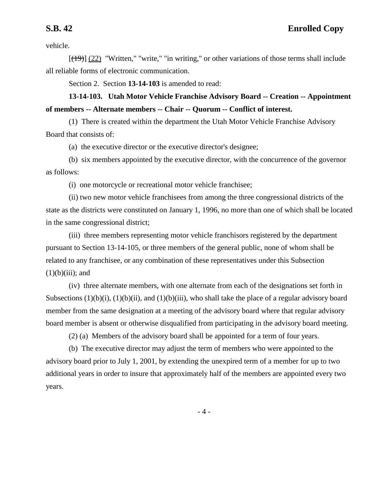vehicle.

 $[(19)] (22)$  "Written," "write," "in writing," or other variations of those terms shall include all reliable forms of electronic communication.

Section 2. Section **13-14-103** is amended to read:

**13-14-103. Utah Motor Vehicle Franchise Advisory Board -- Creation -- Appointment of members -- Alternate members -- Chair -- Quorum -- Conflict of interest.**

(1) There is created within the department the Utah Motor Vehicle Franchise Advisory Board that consists of:

(a) the executive director or the executive director's designee;

(b) six members appointed by the executive director, with the concurrence of the governor as follows:

(i) one motorcycle or recreational motor vehicle franchisee;

(ii) two new motor vehicle franchisees from among the three congressional districts of the state as the districts were constituted on January 1, 1996, no more than one of which shall be located in the same congressional district;

(iii) three members representing motor vehicle franchisors registered by the department pursuant to Section 13-14-105, or three members of the general public, none of whom shall be related to any franchisee, or any combination of these representatives under this Subsection  $(1)(b)(iii)$ ; and

(iv) three alternate members, with one alternate from each of the designations set forth in Subsections  $(1)(b)(i)$ ,  $(1)(b)(ii)$ , and  $(1)(b)(iii)$ , who shall take the place of a regular advisory board member from the same designation at a meeting of the advisory board where that regular advisory board member is absent or otherwise disqualified from participating in the advisory board meeting.

(2) (a) Members of the advisory board shall be appointed for a term of four years.

(b) The executive director may adjust the term of members who were appointed to the advisory board prior to July 1, 2001, by extending the unexpired term of a member for up to two additional years in order to insure that approximately half of the members are appointed every two years.

- 4 -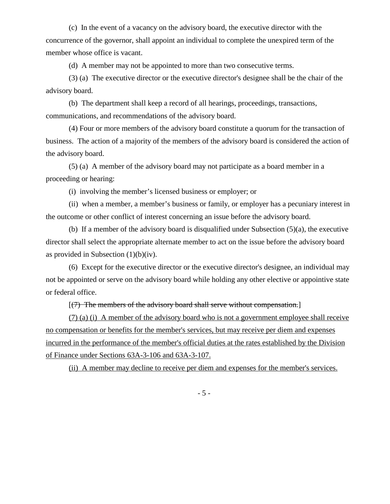(c) In the event of a vacancy on the advisory board, the executive director with the concurrence of the governor, shall appoint an individual to complete the unexpired term of the member whose office is vacant.

(d) A member may not be appointed to more than two consecutive terms.

(3) (a) The executive director or the executive director's designee shall be the chair of the advisory board.

(b) The department shall keep a record of all hearings, proceedings, transactions, communications, and recommendations of the advisory board.

(4) Four or more members of the advisory board constitute a quorum for the transaction of business. The action of a majority of the members of the advisory board is considered the action of the advisory board.

(5) (a) A member of the advisory board may not participate as a board member in a proceeding or hearing:

(i) involving the member's licensed business or employer; or

(ii) when a member, a member's business or family, or employer has a pecuniary interest in the outcome or other conflict of interest concerning an issue before the advisory board.

(b) If a member of the advisory board is disqualified under Subsection (5)(a), the executive director shall select the appropriate alternate member to act on the issue before the advisory board as provided in Subsection  $(1)(b)(iv)$ .

(6) Except for the executive director or the executive director's designee, an individual may not be appointed or serve on the advisory board while holding any other elective or appointive state or federal office.

### $[(7)$  The members of the advisory board shall serve without compensation.

(7) (a) (i) A member of the advisory board who is not a government employee shall receive no compensation or benefits for the member's services, but may receive per diem and expenses incurred in the performance of the member's official duties at the rates established by the Division of Finance under Sections 63A-3-106 and 63A-3-107.

(ii) A member may decline to receive per diem and expenses for the member's services.

- 5 -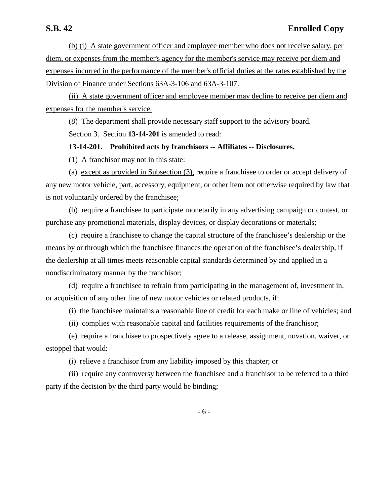(b) (i) A state government officer and employee member who does not receive salary, per diem, or expenses from the member's agency for the member's service may receive per diem and expenses incurred in the performance of the member's official duties at the rates established by the Division of Finance under Sections 63A-3-106 and 63A-3-107.

(ii) A state government officer and employee member may decline to receive per diem and expenses for the member's service.

(8) The department shall provide necessary staff support to the advisory board. Section 3. Section **13-14-201** is amended to read:

### **13-14-201. Prohibited acts by franchisors -- Affiliates -- Disclosures.**

(1) A franchisor may not in this state:

(a) except as provided in Subsection (3), require a franchisee to order or accept delivery of any new motor vehicle, part, accessory, equipment, or other item not otherwise required by law that is not voluntarily ordered by the franchisee;

(b) require a franchisee to participate monetarily in any advertising campaign or contest, or purchase any promotional materials, display devices, or display decorations or materials;

(c) require a franchisee to change the capital structure of the franchisee's dealership or the means by or through which the franchisee finances the operation of the franchisee's dealership, if the dealership at all times meets reasonable capital standards determined by and applied in a nondiscriminatory manner by the franchisor;

(d) require a franchisee to refrain from participating in the management of, investment in, or acquisition of any other line of new motor vehicles or related products, if:

(i) the franchisee maintains a reasonable line of credit for each make or line of vehicles; and

(ii) complies with reasonable capital and facilities requirements of the franchisor;

(e) require a franchisee to prospectively agree to a release, assignment, novation, waiver, or estoppel that would:

(i) relieve a franchisor from any liability imposed by this chapter; or

(ii) require any controversy between the franchisee and a franchisor to be referred to a third party if the decision by the third party would be binding;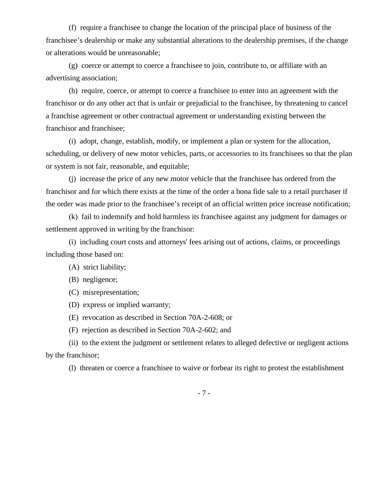(f) require a franchisee to change the location of the principal place of business of the franchisee's dealership or make any substantial alterations to the dealership premises, if the change or alterations would be unreasonable;

(g) coerce or attempt to coerce a franchisee to join, contribute to, or affiliate with an advertising association;

(h) require, coerce, or attempt to coerce a franchisee to enter into an agreement with the franchisor or do any other act that is unfair or prejudicial to the franchisee, by threatening to cancel a franchise agreement or other contractual agreement or understanding existing between the franchisor and franchisee;

(i) adopt, change, establish, modify, or implement a plan or system for the allocation, scheduling, or delivery of new motor vehicles, parts, or accessories to its franchisees so that the plan or system is not fair, reasonable, and equitable;

(j) increase the price of any new motor vehicle that the franchisee has ordered from the franchisor and for which there exists at the time of the order a bona fide sale to a retail purchaser if the order was made prior to the franchisee's receipt of an official written price increase notification;

(k) fail to indemnify and hold harmless its franchisee against any judgment for damages or settlement approved in writing by the franchisor:

(i) including court costs and attorneys' fees arising out of actions, claims, or proceedings including those based on:

(A) strict liability;

(B) negligence;

(C) misrepresentation;

(D) express or implied warranty;

(E) revocation as described in Section 70A-2-608; or

(F) rejection as described in Section 70A-2-602; and

(ii) to the extent the judgment or settlement relates to alleged defective or negligent actions by the franchisor;

(l) threaten or coerce a franchisee to waive or forbear its right to protest the establishment

- 7 -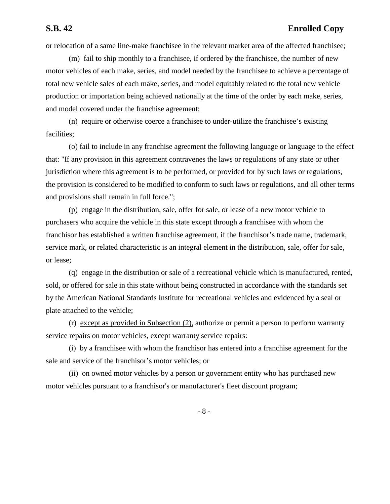## **S.B. 42 Enrolled Copy**

or relocation of a same line-make franchisee in the relevant market area of the affected franchisee;

(m) fail to ship monthly to a franchisee, if ordered by the franchisee, the number of new motor vehicles of each make, series, and model needed by the franchisee to achieve a percentage of total new vehicle sales of each make, series, and model equitably related to the total new vehicle production or importation being achieved nationally at the time of the order by each make, series, and model covered under the franchise agreement;

(n) require or otherwise coerce a franchisee to under-utilize the franchisee's existing facilities;

(o) fail to include in any franchise agreement the following language or language to the effect that: "If any provision in this agreement contravenes the laws or regulations of any state or other jurisdiction where this agreement is to be performed, or provided for by such laws or regulations, the provision is considered to be modified to conform to such laws or regulations, and all other terms and provisions shall remain in full force.";

(p) engage in the distribution, sale, offer for sale, or lease of a new motor vehicle to purchasers who acquire the vehicle in this state except through a franchisee with whom the franchisor has established a written franchise agreement, if the franchisor's trade name, trademark, service mark, or related characteristic is an integral element in the distribution, sale, offer for sale, or lease;

(q) engage in the distribution or sale of a recreational vehicle which is manufactured, rented, sold, or offered for sale in this state without being constructed in accordance with the standards set by the American National Standards Institute for recreational vehicles and evidenced by a seal or plate attached to the vehicle;

(r) except as provided in Subsection (2), authorize or permit a person to perform warranty service repairs on motor vehicles, except warranty service repairs:

(i) by a franchisee with whom the franchisor has entered into a franchise agreement for the sale and service of the franchisor's motor vehicles; or

(ii) on owned motor vehicles by a person or government entity who has purchased new motor vehicles pursuant to a franchisor's or manufacturer's fleet discount program;

- 8 -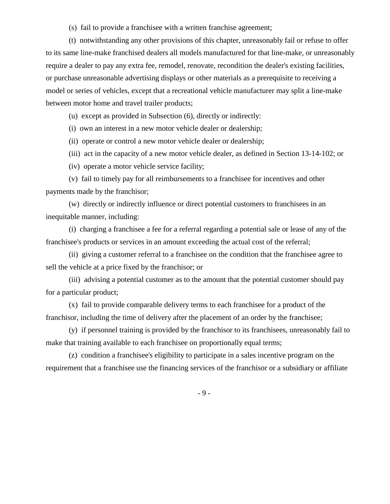(s) fail to provide a franchisee with a written franchise agreement;

(t) notwithstanding any other provisions of this chapter, unreasonably fail or refuse to offer to its same line-make franchised dealers all models manufactured for that line-make, or unreasonably require a dealer to pay any extra fee, remodel, renovate, recondition the dealer's existing facilities, or purchase unreasonable advertising displays or other materials as a prerequisite to receiving a model or series of vehicles, except that a recreational vehicle manufacturer may split a line-make between motor home and travel trailer products;

(u) except as provided in Subsection (6), directly or indirectly:

(i) own an interest in a new motor vehicle dealer or dealership;

(ii) operate or control a new motor vehicle dealer or dealership;

(iii) act in the capacity of a new motor vehicle dealer, as defined in Section 13-14-102; or

(iv) operate a motor vehicle service facility;

(v) fail to timely pay for all reimbursements to a franchisee for incentives and other payments made by the franchisor;

(w) directly or indirectly influence or direct potential customers to franchisees in an inequitable manner, including:

(i) charging a franchisee a fee for a referral regarding a potential sale or lease of any of the franchisee's products or services in an amount exceeding the actual cost of the referral;

(ii) giving a customer referral to a franchisee on the condition that the franchisee agree to sell the vehicle at a price fixed by the franchisor; or

(iii) advising a potential customer as to the amount that the potential customer should pay for a particular product;

(x) fail to provide comparable delivery terms to each franchisee for a product of the franchisor, including the time of delivery after the placement of an order by the franchisee;

(y) if personnel training is provided by the franchisor to its franchisees, unreasonably fail to make that training available to each franchisee on proportionally equal terms;

(z) condition a franchisee's eligibility to participate in a sales incentive program on the requirement that a franchisee use the financing services of the franchisor or a subsidiary or affiliate

- 9 -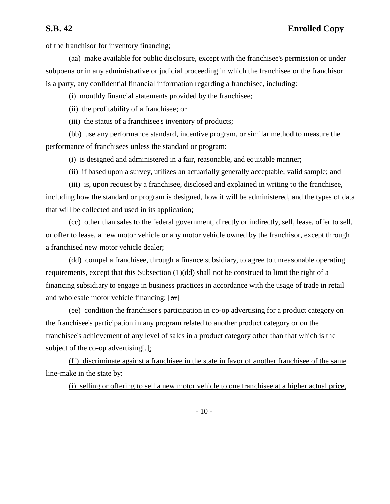of the franchisor for inventory financing;

(aa) make available for public disclosure, except with the franchisee's permission or under subpoena or in any administrative or judicial proceeding in which the franchisee or the franchisor is a party, any confidential financial information regarding a franchisee, including:

(i) monthly financial statements provided by the franchisee;

(ii) the profitability of a franchisee; or

(iii) the status of a franchisee's inventory of products;

(bb) use any performance standard, incentive program, or similar method to measure the performance of franchisees unless the standard or program:

(i) is designed and administered in a fair, reasonable, and equitable manner;

(ii) if based upon a survey, utilizes an actuarially generally acceptable, valid sample; and

(iii) is, upon request by a franchisee, disclosed and explained in writing to the franchisee, including how the standard or program is designed, how it will be administered, and the types of data that will be collected and used in its application;

(cc) other than sales to the federal government, directly or indirectly, sell, lease, offer to sell, or offer to lease, a new motor vehicle or any motor vehicle owned by the franchisor, except through a franchised new motor vehicle dealer;

(dd) compel a franchisee, through a finance subsidiary, to agree to unreasonable operating requirements, except that this Subsection (1)(dd) shall not be construed to limit the right of a financing subsidiary to engage in business practices in accordance with the usage of trade in retail and wholesale motor vehicle financing;  $[**or**]$ 

(ee) condition the franchisor's participation in co-op advertising for a product category on the franchisee's participation in any program related to another product category or on the franchisee's achievement of any level of sales in a product category other than that which is the subject of the co-op advertising.

(ff) discriminate against a franchisee in the state in favor of another franchisee of the same line-make in the state by:

(i) selling or offering to sell a new motor vehicle to one franchisee at a higher actual price,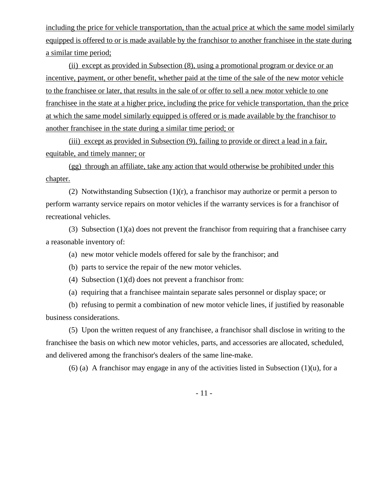including the price for vehicle transportation, than the actual price at which the same model similarly equipped is offered to or is made available by the franchisor to another franchisee in the state during a similar time period;

(ii) except as provided in Subsection (8), using a promotional program or device or an incentive, payment, or other benefit, whether paid at the time of the sale of the new motor vehicle to the franchisee or later, that results in the sale of or offer to sell a new motor vehicle to one franchisee in the state at a higher price, including the price for vehicle transportation, than the price at which the same model similarly equipped is offered or is made available by the franchisor to another franchisee in the state during a similar time period; or

(iii) except as provided in Subsection (9), failing to provide or direct a lead in a fair, equitable, and timely manner; or

(gg) through an affiliate, take any action that would otherwise be prohibited under this chapter.

(2) Notwithstanding Subsection (1)(r), a franchisor may authorize or permit a person to perform warranty service repairs on motor vehicles if the warranty services is for a franchisor of recreational vehicles.

(3) Subsection (1)(a) does not prevent the franchisor from requiring that a franchisee carry a reasonable inventory of:

(a) new motor vehicle models offered for sale by the franchisor; and

(b) parts to service the repair of the new motor vehicles.

(4) Subsection (1)(d) does not prevent a franchisor from:

(a) requiring that a franchisee maintain separate sales personnel or display space; or

(b) refusing to permit a combination of new motor vehicle lines, if justified by reasonable business considerations.

(5) Upon the written request of any franchisee, a franchisor shall disclose in writing to the franchisee the basis on which new motor vehicles, parts, and accessories are allocated, scheduled, and delivered among the franchisor's dealers of the same line-make.

(6) (a) A franchisor may engage in any of the activities listed in Subsection  $(1)(u)$ , for a

- 11 -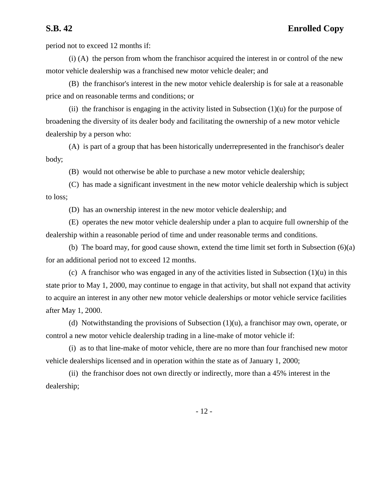period not to exceed 12 months if:

(i) (A) the person from whom the franchisor acquired the interest in or control of the new motor vehicle dealership was a franchised new motor vehicle dealer; and

(B) the franchisor's interest in the new motor vehicle dealership is for sale at a reasonable price and on reasonable terms and conditions; or

(ii) the franchisor is engaging in the activity listed in Subsection  $(1)(u)$  for the purpose of broadening the diversity of its dealer body and facilitating the ownership of a new motor vehicle dealership by a person who:

(A) is part of a group that has been historically underrepresented in the franchisor's dealer body;

(B) would not otherwise be able to purchase a new motor vehicle dealership;

(C) has made a significant investment in the new motor vehicle dealership which is subject to loss;

(D) has an ownership interest in the new motor vehicle dealership; and

(E) operates the new motor vehicle dealership under a plan to acquire full ownership of the dealership within a reasonable period of time and under reasonable terms and conditions.

(b) The board may, for good cause shown, extend the time limit set forth in Subsection (6)(a) for an additional period not to exceed 12 months.

(c) A franchisor who was engaged in any of the activities listed in Subsection  $(1)(u)$  in this state prior to May 1, 2000, may continue to engage in that activity, but shall not expand that activity to acquire an interest in any other new motor vehicle dealerships or motor vehicle service facilities after May 1, 2000.

(d) Notwithstanding the provisions of Subsection  $(1)(u)$ , a franchisor may own, operate, or control a new motor vehicle dealership trading in a line-make of motor vehicle if:

(i) as to that line-make of motor vehicle, there are no more than four franchised new motor vehicle dealerships licensed and in operation within the state as of January 1, 2000;

(ii) the franchisor does not own directly or indirectly, more than a 45% interest in the dealership;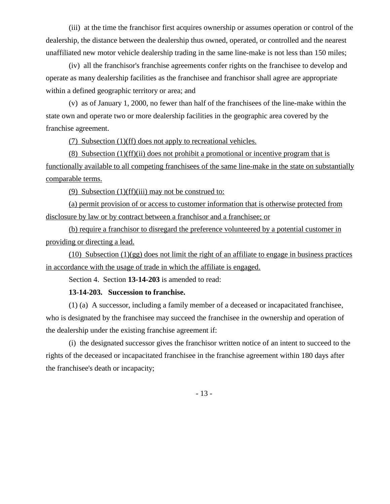(iii) at the time the franchisor first acquires ownership or assumes operation or control of the dealership, the distance between the dealership thus owned, operated, or controlled and the nearest unaffiliated new motor vehicle dealership trading in the same line-make is not less than 150 miles;

(iv) all the franchisor's franchise agreements confer rights on the franchisee to develop and operate as many dealership facilities as the franchisee and franchisor shall agree are appropriate within a defined geographic territory or area; and

(v) as of January 1, 2000, no fewer than half of the franchisees of the line-make within the state own and operate two or more dealership facilities in the geographic area covered by the franchise agreement.

(7) Subsection (1)(ff) does not apply to recreational vehicles.

(8) Subsection (1)(ff)(ii) does not prohibit a promotional or incentive program that is functionally available to all competing franchisees of the same line-make in the state on substantially comparable terms.

(9) Subsection  $(1)(ff)(iii)$  may not be construed to:

(a) permit provision of or access to customer information that is otherwise protected from disclosure by law or by contract between a franchisor and a franchisee; or

(b) require a franchisor to disregard the preference volunteered by a potential customer in providing or directing a lead.

(10) Subsection  $(1)(gg)$  does not limit the right of an affiliate to engage in business practices in accordance with the usage of trade in which the affiliate is engaged.

Section 4. Section **13-14-203** is amended to read:

### **13-14-203. Succession to franchise.**

(1) (a) A successor, including a family member of a deceased or incapacitated franchisee, who is designated by the franchisee may succeed the franchisee in the ownership and operation of the dealership under the existing franchise agreement if:

(i) the designated successor gives the franchisor written notice of an intent to succeed to the rights of the deceased or incapacitated franchisee in the franchise agreement within 180 days after the franchisee's death or incapacity;

- 13 -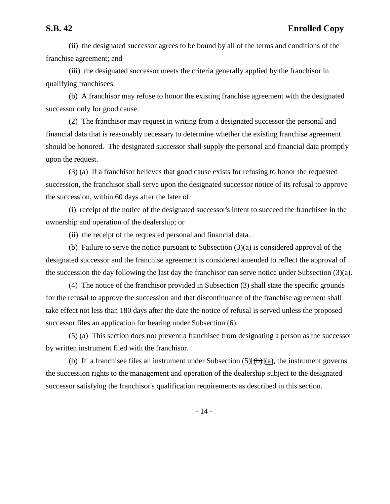(ii) the designated successor agrees to be bound by all of the terms and conditions of the franchise agreement; and

(iii) the designated successor meets the criteria generally applied by the franchisor in qualifying franchisees.

(b) A franchisor may refuse to honor the existing franchise agreement with the designated successor only for good cause.

(2) The franchisor may request in writing from a designated successor the personal and financial data that is reasonably necessary to determine whether the existing franchise agreement should be honored. The designated successor shall supply the personal and financial data promptly upon the request.

(3) (a) If a franchisor believes that good cause exists for refusing to honor the requested succession, the franchisor shall serve upon the designated successor notice of its refusal to approve the succession, within 60 days after the later of:

(i) receipt of the notice of the designated successor's intent to succeed the franchisee in the ownership and operation of the dealership; or

(ii) the receipt of the requested personal and financial data.

(b) Failure to serve the notice pursuant to Subsection (3)(a) is considered approval of the designated successor and the franchise agreement is considered amended to reflect the approval of the succession the day following the last day the franchisor can serve notice under Subsection (3)(a).

(4) The notice of the franchisor provided in Subsection (3) shall state the specific grounds for the refusal to approve the succession and that discontinuance of the franchise agreement shall take effect not less than 180 days after the date the notice of refusal is served unless the proposed successor files an application for hearing under Subsection (6).

(5) (a) This section does not prevent a franchisee from designating a person as the successor by written instrument filed with the franchisor.

(b) If a franchisee files an instrument under Subsection  $(5)[(b)](a)$ , the instrument governs the succession rights to the management and operation of the dealership subject to the designated successor satisfying the franchisor's qualification requirements as described in this section.

- 14 -